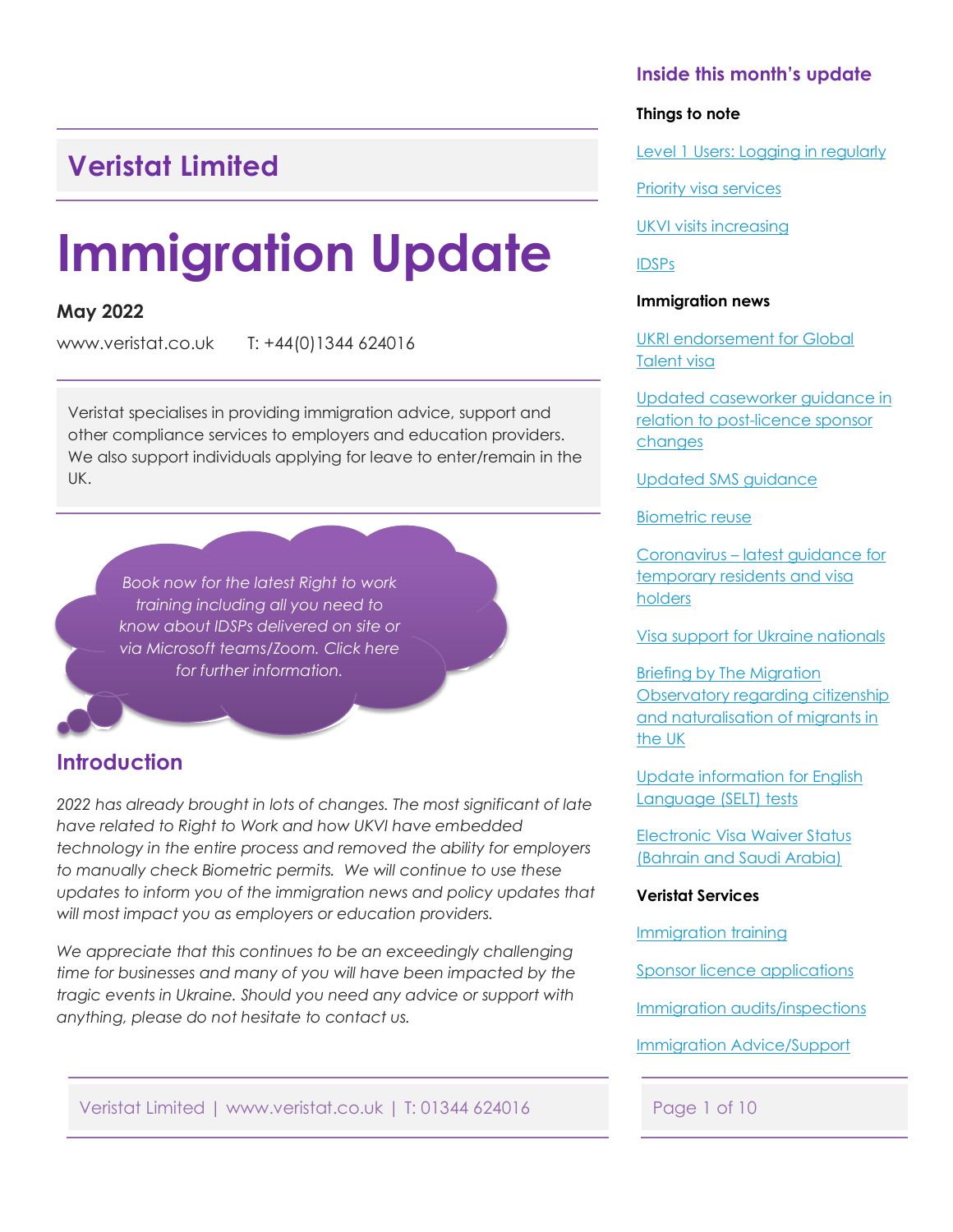## <span id="page-0-0"></span>**Veristat Limited**

# **Immigration Update**

### **May 2022**

www.veristat.co.uk T: +44(0)1344 624016

Veristat specialises in providing immigration advice, support and other compliance services to employers and education providers. We also support individuals applying for leave to enter/remain in the UK.

*Book now for the latest Right to work training including all you need to know about IDSPs delivered on site or [via Microsoft teams/Zoom. Click here](#page-7-0) for further information.*

### **Introduction**

*2022 has already brought in lots of changes. The most significant of late have related to Right to Work and how UKVI have embedded technology in the entire process and removed the ability for employers to manually check Biometric permits. We will continue to use these updates to inform you of the immigration news and policy updates that will most impact you as employers or education providers.* 

*We appreciate that this continues to be an exceedingly challenging time for businesses and many of you will have been impacted by the tragic events in Ukraine. Should you need any advice or support with anything, please do not hesitate to contact us.*

Veristat Limited | www.veristat.co.uk | T: 01344 624016 Page 1 of 10

### **Inside this month's update**

#### **Things to note**

[Level 1 Users: Logging in regularly](#page-1-0)

[Priority visa services](#page-2-0)

[UKVI visits increasing](#page-2-0)

[IDSPs](#page-3-0)

#### **Immigration news**

[UKRI endorsement for Global](#page-4-0)  Talent visa

[Updated caseworker guidance in](#page-4-0)  relation to post-licence sponsor changes

[Updated SMS guidance](#page-3-0)

[Biometric reuse](#page-4-0)

Coronavirus – latest guidance for [temporary residents and visa](#page-4-0)  holders

[Visa support for Ukraine nationals](#page-5-0)

Briefing by The Migration [Observatory regarding citizenship](#page-6-0)  and naturalisation of migrants in the UK

[Update information for English](#page-7-0)  Language (SELT) tests

[Electronic Visa Waiver Status](#page-5-0)  (Bahrain and Saudi Arabia)

#### **Veristat Services**

[Immigration](#page-7-0) training

[Sponsor licence applications](#page-7-0)

Immigration [audits/inspections](#page-8-0)

[Immigration Advice/Support](#page-9-0)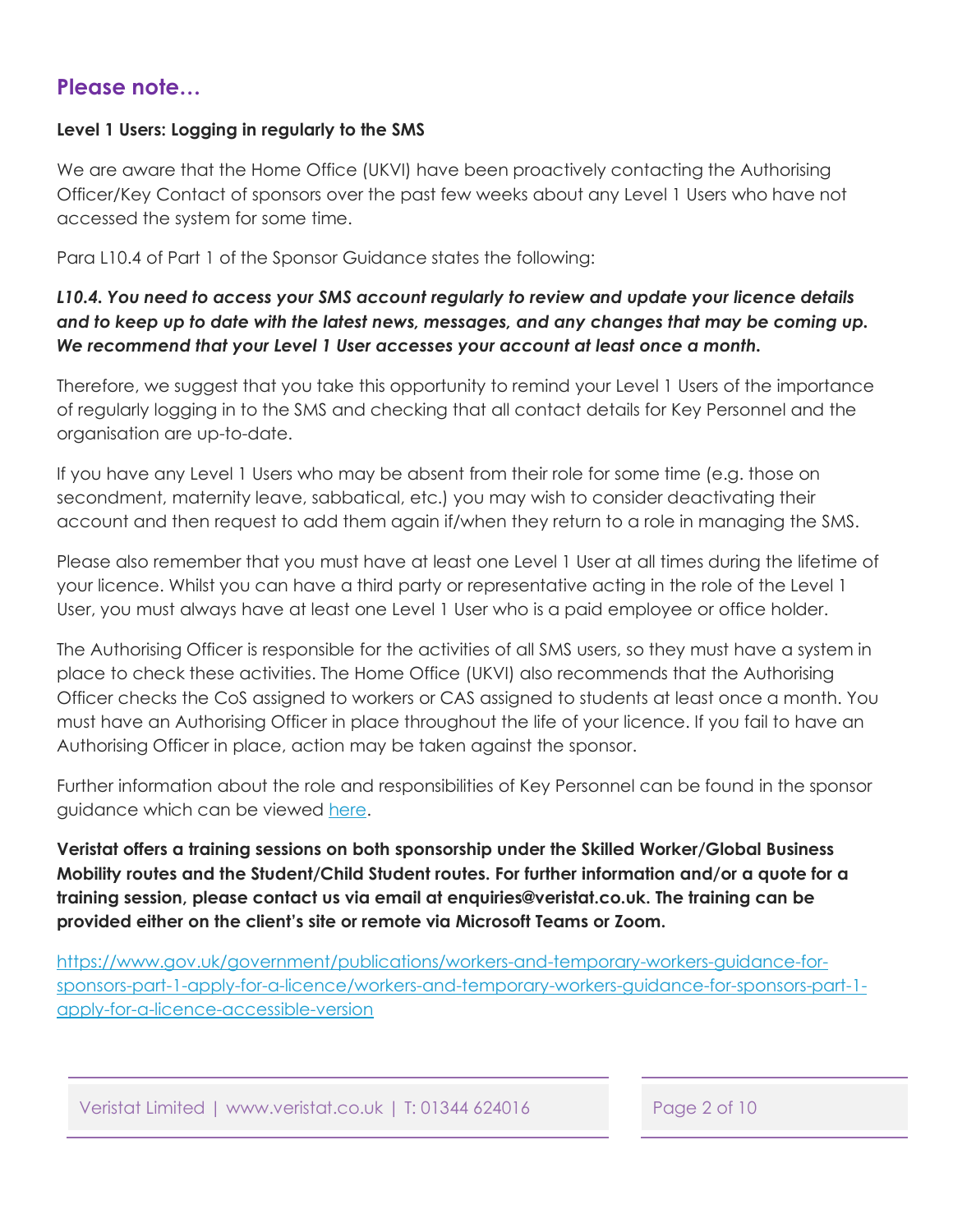### <span id="page-1-0"></span>**Please note…**

### **Level 1 Users: Logging in regularly to the SMS**

We are aware that the Home Office (UKVI) have been proactively contacting the Authorising Officer/Key Contact of sponsors over the past few weeks about any Level 1 Users who have not accessed the system for some time.

Para L10.4 of Part 1 of the Sponsor Guidance states the following:

### *L10.4. You need to access your SMS account regularly to review and update your licence details and to keep up to date with the latest news, messages, and any changes that may be coming up. We recommend that your Level 1 User accesses your account at least once a month.*

Therefore, we suggest that you take this opportunity to remind your Level 1 Users of the importance of regularly logging in to the SMS and checking that all contact details for Key Personnel and the organisation are up-to-date.

If you have any Level 1 Users who may be absent from their role for some time (e.g. those on secondment, maternity leave, sabbatical, etc.) you may wish to consider deactivating their account and then request to add them again if/when they return to a role in managing the SMS.

Please also remember that you must have at least one Level 1 User at all times during the lifetime of your licence. Whilst you can have a third party or representative acting in the role of the Level 1 User, you must always have at least one Level 1 User who is a paid employee or office holder.

The Authorising Officer is responsible for the activities of all SMS users, so they must have a system in place to check these activities. The Home Office (UKVI) also recommends that the Authorising Officer checks the CoS assigned to workers or CAS assigned to students at least once a month. You must have an Authorising Officer in place throughout the life of your licence. If you fail to have an Authorising Officer in place, action may be taken against the sponsor.

Further information about the role and responsibilities of Key Personnel can be found in the sponsor guidance which can be viewed here.

**Veristat offers a training sessions on both sponsorship under the Skilled Worker/Global Business Mobility routes and the Student/Child Student routes. For further information and/or a quote for a training session, please contact us via email at enquiries@veristat.co.uk. The training can be provided either on the client's site or remote via Microsoft Teams or Zoom.** 

https://www.gov.uk/government/publications/workers-and-temporary-workers-guidance-for[sponsors-part-1-apply-for-a-licence/workers-and-temporary-workers-guidance-for-sponsors-part-1](https://www.gov.uk/government/publications/workers-and-temporary-workers-guidance-for-sponsors-part-1-apply-for-a-licence/workers-and-temporary-workers-guidance-for-sponsors-part-1-apply-for-a-licence-accessible-version) apply-for-a-licence-accessible-version

Veristat Limited | www.veristat.co.uk | T: 01344 624016 Page 2 of 10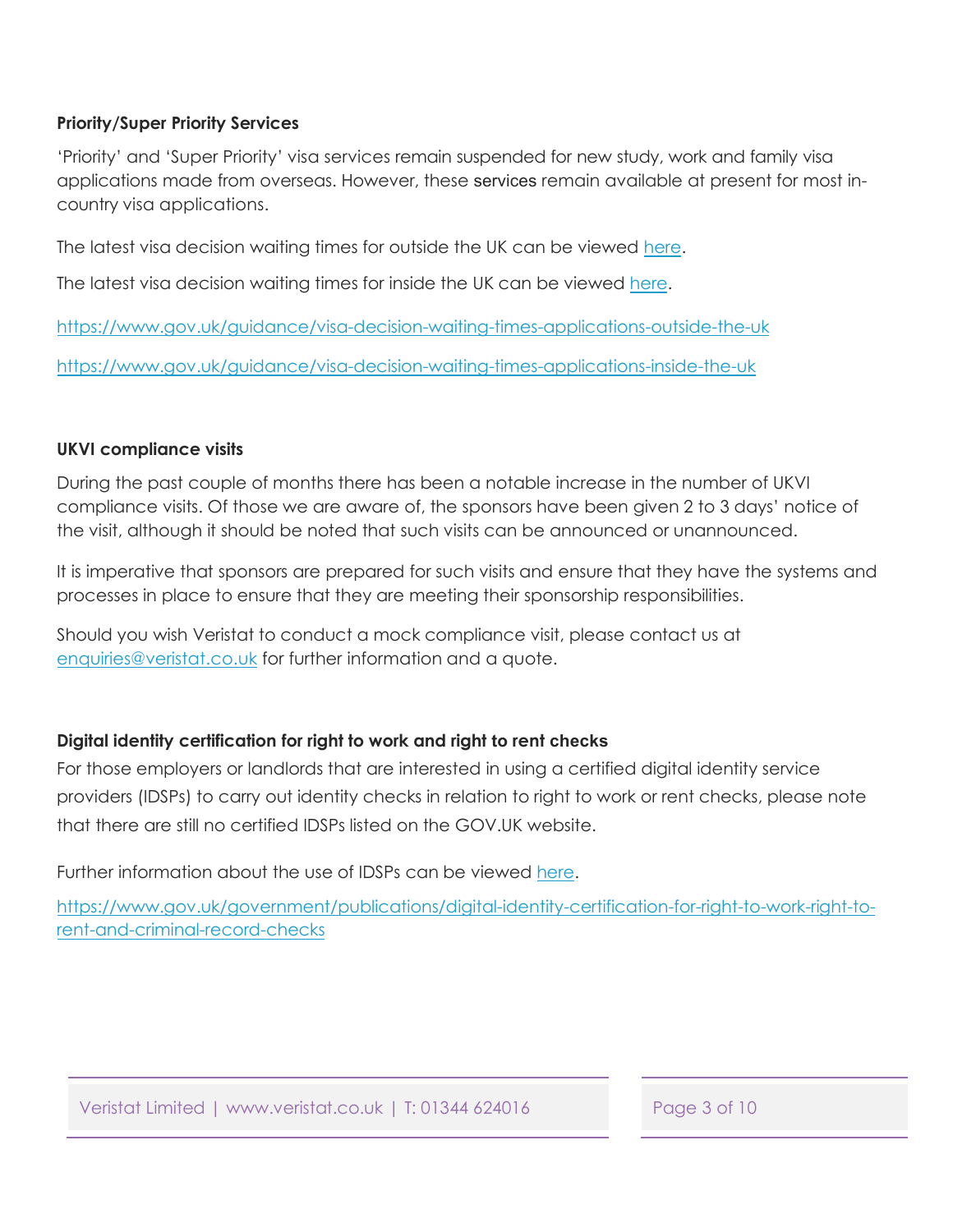### <span id="page-2-0"></span>**Priority/Super Priority Services**

'Priority' and 'Super Priority' visa services remain suspended for new study, work and family visa applications made from overseas. However, these services remain available at present for most incountry visa applications.

The latest visa decision waiting times for outside the UK can be viewed [here.](https://www.gov.uk/guidance/visa-decision-waiting-times-applications-outside-the-uk)

The latest visa decision waiting times for inside the UK can be viewed [here.](https://www.gov.uk/guidance/visa-decision-waiting-times-applications-inside-the-uk)

<https://www.gov.uk/guidance/visa-decision-waiting-times-applications-outside-the-uk>

<https://www.gov.uk/guidance/visa-decision-waiting-times-applications-inside-the-uk>

### **UKVI compliance visits**

During the past couple of months there has been a notable increase in the number of UKVI compliance visits. Of those we are aware of, the sponsors have been given 2 to 3 days' notice of the visit, although it should be noted that such visits can be announced or unannounced.

It is imperative that sponsors are prepared for such visits and ensure that they have the systems and processes in place to ensure that they are meeting their sponsorship responsibilities.

Should you wish Veristat to conduct a mock compliance visit, please contact us at enquiries@veristat.co.uk for further information and a quote.

### **Digital identity certification for right to work and right to rent checks**

For those employers or landlords that are interested in using a certified digital identity service providers (IDSPs) to carry out identity checks in relation to right to work or rent checks, please note that there are still no certified IDSPs listed on the GOV.UK website.

Further information about the use of IDSPs can be viewed [here.](https://www.gov.uk/government/publications/digital-identity-certification-for-right-to-work-right-to-rent-and-criminal-record-checks)

[https://www.gov.uk/government/publications/digital-identity-certification-for-right-to-work-right-to](https://www.gov.uk/government/publications/digital-identity-certification-for-right-to-work-right-to-rent-and-criminal-record-checks)rent-and-criminal-record-checks

Veristat Limited | www.veristat.co.uk | T: 01344 624016 Page 3 of 10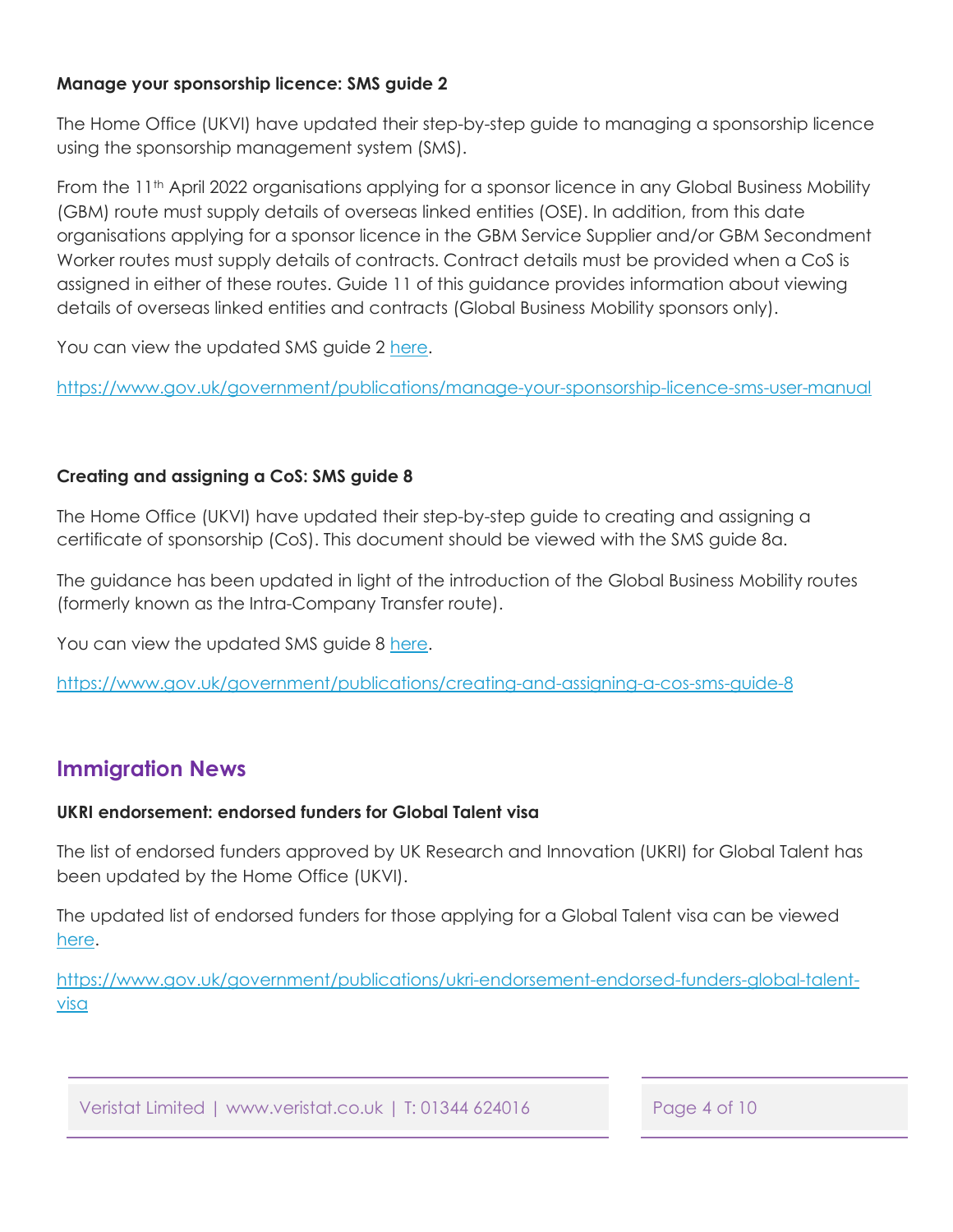### <span id="page-3-0"></span>**Manage your sponsorship licence: SMS guide 2**

The Home Office (UKVI) have updated their step-by-step guide to managing a sponsorship licence using the sponsorship management system (SMS).

From the 11<sup>th</sup> April 2022 organisations applying for a sponsor licence in any Global Business Mobility (GBM) route must supply details of overseas linked entities (OSE). In addition, from this date organisations applying for a sponsor licence in the GBM Service Supplier and/or GBM Secondment Worker routes must supply details of contracts. Contract details must be provided when a CoS is assigned in either of these routes. Guide 11 of this guidance provides information about viewing details of overseas linked entities and contracts (Global Business Mobility sponsors only).

You can view the updated SMS guide 2 [here](https://www.gov.uk/government/publications/manage-your-sponsorship-licence-sms-user-manual).

<https://www.gov.uk/government/publications/manage-your-sponsorship-licence-sms-user-manual>

### **Creating and assigning a CoS: SMS guide 8**

The Home Office (UKVI) have updated their step-by-step guide to creating and assigning a certificate of sponsorship (CoS). This document should be viewed with the SMS guide 8a.

The guidance has been updated in light of the introduction of the Global Business Mobility routes (formerly known as the Intra-Company Transfer route).

You can view the updated SMS guide 8 [here.](https://www.gov.uk/government/publications/creating-and-assigning-a-cos-sms-guide-8)

<https://www.gov.uk/government/publications/creating-and-assigning-a-cos-sms-guide-8>

### **Immigration News**

### **UKRI endorsement: endorsed funders for Global Talent visa**

The list of endorsed funders approved by UK Research and Innovation (UKRI) for Global Talent has been updated by the Home Office (UKVI).

The updated list of endorsed funders for those applying for a Global Talent visa can be viewed [here.](https://www.gov.uk/government/publications/ukri-endorsement-endorsed-funders-global-talent-visa) 

[https://www.gov.uk/government/publications/ukri-endorsement-endorsed-funders-global-talent](https://www.gov.uk/government/publications/ukri-endorsement-endorsed-funders-global-talent-visa)visa

Veristat Limited | www.veristat.co.uk | T: 01344 624016 Page 4 of 10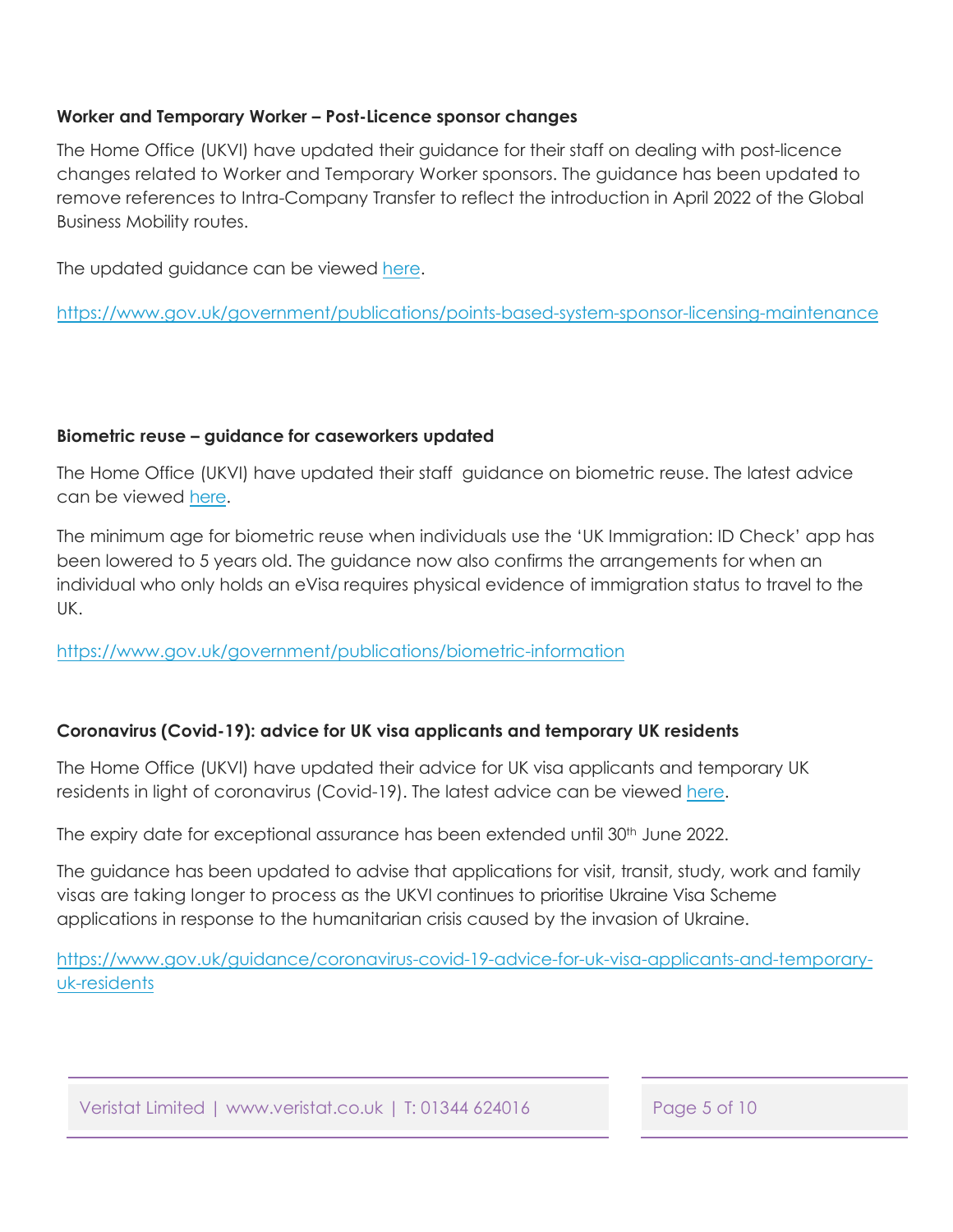### <span id="page-4-0"></span>**Worker and Temporary Worker – Post-Licence sponsor changes**

The Home Office (UKVI) have updated their guidance for their staff on dealing with post-licence changes related to Worker and Temporary Worker sponsors. The guidance has been updated to remove references to Intra-Company Transfer to reflect the introduction in April 2022 of the Global Business Mobility routes.

The updated [guidance](https://www.gov.uk/government/publications/points-based-system-sponsor-licensing-maintenance) can be viewed [here.](https://www.gov.uk/government/publications/points-based-system-sponsor-licensing-maintenance)

https://www.gov.uk/government/publications/points-based-system-sponsor-licensing-maintenance

### **Biometric reuse – guidance for caseworkers updated**

The Home Office (UKVI) have updated their staff guidance on biometric reuse. The latest advice can be viewed [here](https://www.gov.uk/government/publications/biometric-information).

The minimum age for biometric reuse when individuals use the 'UK Immigration: ID Check' app has been lowered to 5 years old. The guidance now also confirms the arrangements for when an individual who only holds an eVisa requires physical evidence of immigration status to travel to the UK.

<https://www.gov.uk/government/publications/biometric-information>

### **Coronavirus (Covid-19): advice for UK visa applicants and temporary UK residents**

The Home Office (UKVI) have updated their advice for UK visa applicants and temporary UK residents in light of coronavirus (Covid-19). The latest advice can be viewed [here.](https://www.gov.uk/guidance/coronavirus-covid-19-advice-for-uk-visa-applicants-and-temporary-uk-residents) 

The expiry date for exceptional assurance has been extended until 30<sup>th</sup> June 2022.

The guidance has been updated to advise that applications for visit, transit, study, work and family visas are taking longer to process as the UKVI continues to prioritise Ukraine Visa Scheme applications in response to the humanitarian crisis caused by the invasion of Ukraine.

[https://www.gov.uk/guidance/coronavirus-covid-19-advice-for-uk-visa-applicants-and-temporary](https://www.gov.uk/guidance/coronavirus-covid-19-advice-for-uk-visa-applicants-and-temporary-uk-residents)uk-residents

Veristat Limited | www.veristat.co.uk | T: 01344 624016 Page 5 of 10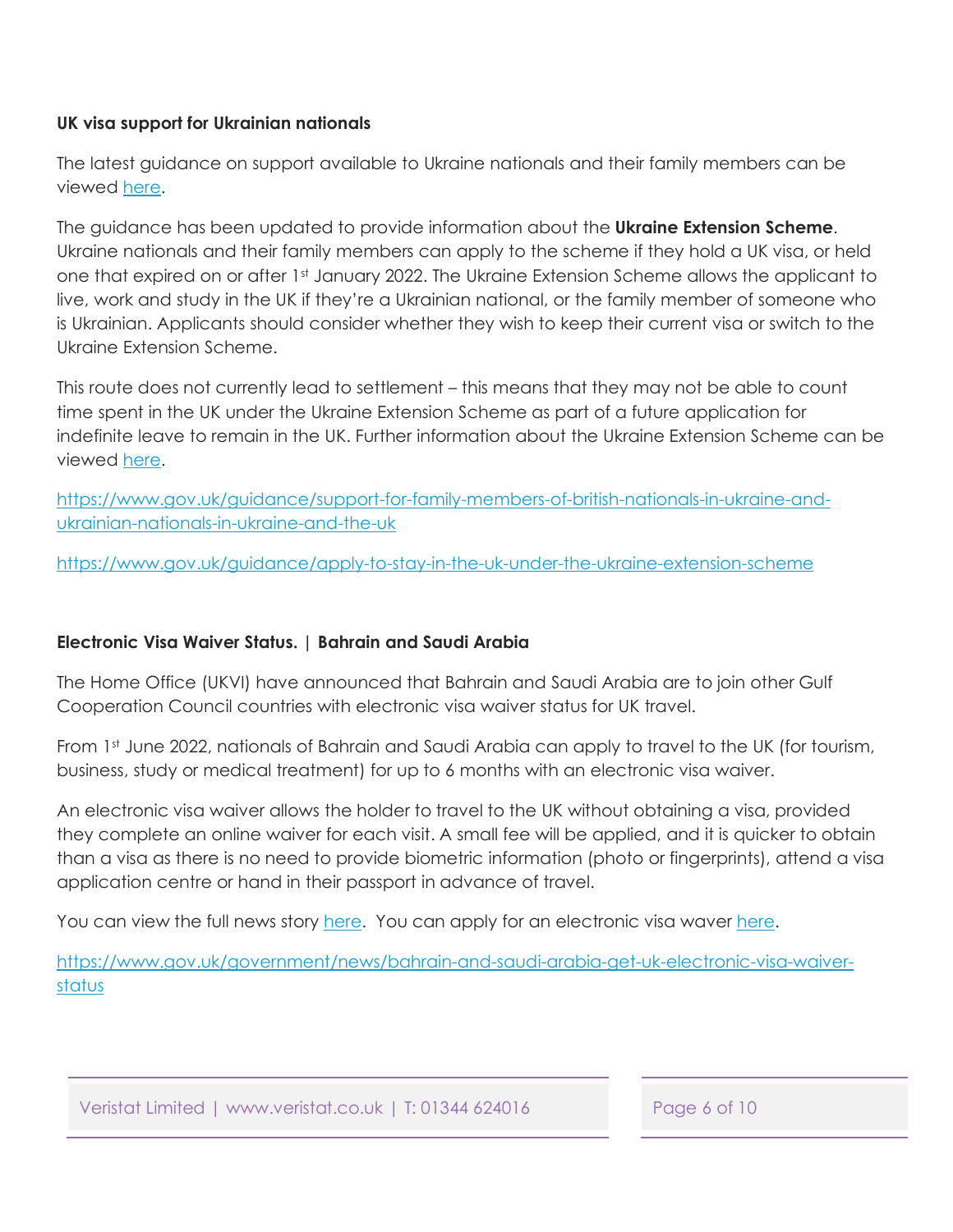### <span id="page-5-0"></span>**UK visa support for Ukrainian nationals**

The latest guidance on support available to Ukraine nationals and their family members can be viewed [here.](https://www.gov.uk/guidance/support-for-family-members-of-british-nationals-in-ukraine-and-ukrainian-nationals-in-ukraine-and-the-uk) 

The guidance has been updated to provide information about the **Ukraine Extension Scheme**. Ukraine nationals and their family members can apply to the scheme if they hold a UK visa, or held one that expired on or after 1st January 2022. The Ukraine Extension Scheme allows the applicant to live, work and study in the UK if they're a Ukrainian national, or the family member of someone who is Ukrainian. Applicants should consider whether they wish to keep their current visa or switch to the Ukraine Extension Scheme.

This route does not currently lead to settlement – this means that they may not be able to count time spent in the UK under the Ukraine Extension Scheme as part of a future application for indefinite leave to remain in the UK. Further information about the Ukraine Extension Scheme can be viewed [here.](https://www.gov.uk/guidance/apply-to-stay-in-the-uk-under-the-ukraine-extension-scheme)

[https://www.gov.uk/guidance/support-for-family-members-of-british-nationals-in-ukraine-and](https://www.gov.uk/guidance/support-for-family-members-of-british-nationals-in-ukraine-and-ukrainian-nationals-in-ukraine-and-the-uk)ukrainian-nationals-in-ukraine-and-the-uk

<https://www.gov.uk/guidance/apply-to-stay-in-the-uk-under-the-ukraine-extension-scheme>

### **Electronic Visa Waiver Status. | Bahrain and Saudi Arabia**

The Home Office (UKVI) have announced that Bahrain and Saudi Arabia are to join other Gulf Cooperation Council countries with electronic visa waiver status for UK travel.

From 1st June 2022, nationals of Bahrain and Saudi Arabia can apply to travel to the UK (for tourism, business, study or medical treatment) for up to 6 months with an electronic visa waiver.

An electronic visa waiver allows the holder to travel to the UK without obtaining a visa, provided they complete an online waiver for each visit. A small fee will be applied, and it is quicker to obtain than a visa as there is no need to provide biometric information (photo or fingerprints), attend a visa application centre or hand in their passport in advance of travel.

You can view the full news story [here](https://www.gov.uk/government/news/bahrain-and-saudi-arabia-get-uk-electronic-visa-waiver-status). You can apply for an electronic visa waver [here.](https://www.gov.uk/get-electronic-visa-waiver)

[https://www.gov.uk/government/news/bahrain-and-saudi-arabia-get-uk-electronic-visa-waiver](https://www.gov.uk/government/news/bahrain-and-saudi-arabia-get-uk-electronic-visa-waiver-status)status

Veristat Limited | www.veristat.co.uk | T: 01344 624016 Page 6 of 10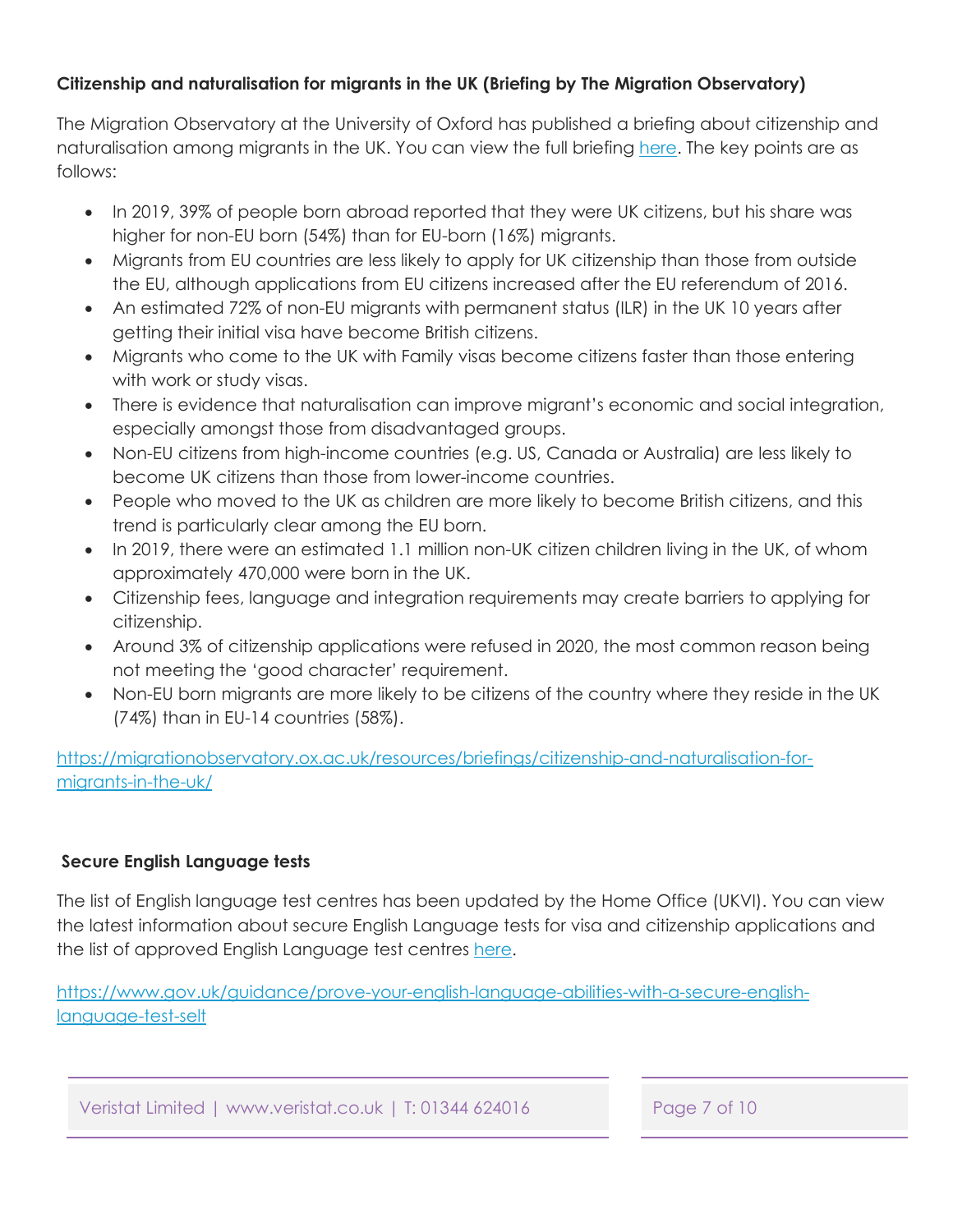### <span id="page-6-0"></span>**Citizenship and naturalisation for migrants in the UK (Briefing by The Migration Observatory)**

The Migration Observatory at the University of Oxford has published a briefing about citizenship and naturalisation among migrants in the UK. You can view the full briefing [here.](https://migrationobservatory.ox.ac.uk/resources/briefings/citizenship-and-naturalisation-for-migrants-in-the-uk/) The key points are as follows:

- In 2019, 39% of people born abroad reported that they were UK citizens, but his share was higher for non-EU born (54%) than for EU-born (16%) migrants.
- Migrants from EU countries are less likely to apply for UK citizenship than those from outside the EU, although applications from EU citizens increased after the EU referendum of 2016.
- An estimated 72% of non-EU migrants with permanent status (ILR) in the UK 10 years after getting their initial visa have become British citizens.
- Migrants who come to the UK with Family visas become citizens faster than those entering with work or study visas.
- There is evidence that naturalisation can improve migrant's economic and social integration, especially amongst those from disadvantaged groups.
- Non-EU citizens from high-income countries (e.g. US, Canada or Australia) are less likely to become UK citizens than those from lower-income countries.
- People who moved to the UK as children are more likely to become British citizens, and this trend is particularly clear among the EU born.
- In 2019, there were an estimated 1.1 million non-UK citizen children living in the UK, of whom approximately 470,000 were born in the UK.
- Citizenship fees, language and integration requirements may create barriers to applying for citizenship.
- Around 3% of citizenship applications were refused in 2020, the most common reason being not meeting the 'good character' requirement.
- Non-EU born migrants are more likely to be citizens of the country where they reside in the UK (74%) than in EU-14 countries (58%).

[https://migrationobservatory.ox.ac.uk/resources/briefings/citizenship-and-naturalisation-for](https://migrationobservatory.ox.ac.uk/resources/briefings/citizenship-and-naturalisation-for-migrants-in-the-uk/)migrants-in-the-uk/

### **Secure English Language tests**

The list of English language test centres has been updated by the Home Office (UKVI). You can view the latest information about secure English Language tests for visa and citizenship applications and the list of approved English Language test centres [here.](https://www.gov.uk/guidance/prove-your-english-language-abilities-with-a-secure-english-language-test-selt)

[https://www.gov.uk/guidance/prove-your-english-language-abilities-with-a-secure-english](https://www.gov.uk/guidance/prove-your-english-language-abilities-with-a-secure-english-language-test-selt)language-test-selt

Veristat Limited | www.veristat.co.uk | T: 01344 624016 Page 7 of 10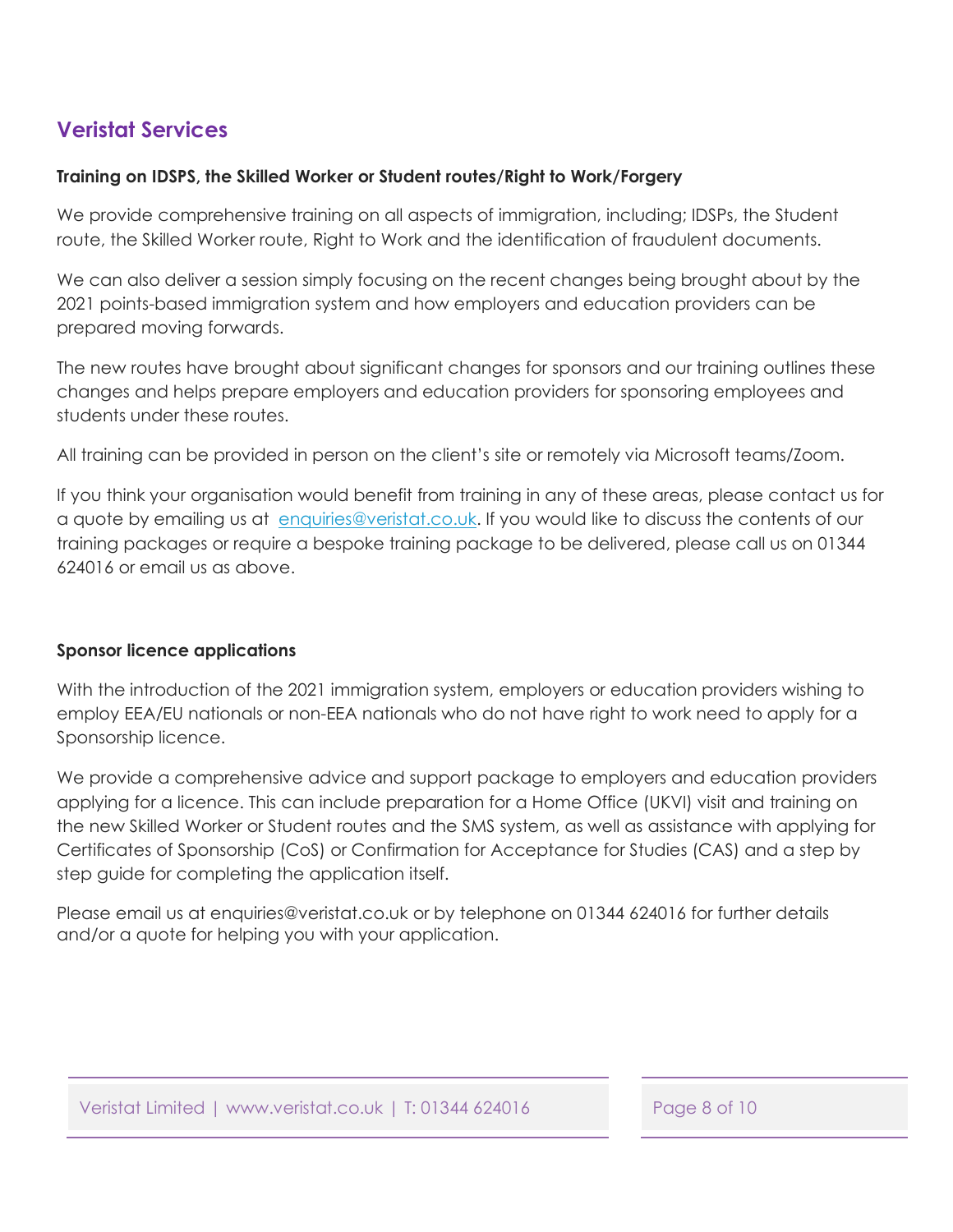### <span id="page-7-0"></span>**Veristat Services**

### **Training on IDSPS, the Skilled Worker or Student routes/Right to Work/Forgery**

We provide comprehensive training on all aspects of immigration, including; IDSPs, the Student route, the Skilled Worker route, Right to Work and the identification of fraudulent documents.

We can also deliver a session simply focusing on the recent changes being brought about by the 2021 points-based immigration system and how employers and education providers can be prepared moving forwards.

The new routes have brought about significant changes for sponsors and our training outlines these changes and helps prepare employers and education providers for sponsoring employees and students under these routes.

All training can be provided in person on the client's site or remotely via Microsoft teams/Zoom.

If you think your organisation would benefit from training in any of these areas, please contact us for a quote by emailing us at enquiries@veristat.co.uk. If you would like to discuss the contents of our training packages or require a bespoke training package to be delivered, please call us on 01344 624016 or email us as above.

### **Sponsor licence applications**

With the introduction of the 2021 immigration system, employers or education providers wishing to employ EEA/EU nationals or non-EEA nationals who do not have right to work need to apply for a Sponsorship licence.

We provide a comprehensive advice and support package to employers and education providers applying for a licence. This can include preparation for a Home Office (UKVI) visit and training on the new Skilled Worker or Student routes and the SMS system, as well as assistance with applying for Certificates of Sponsorship (CoS) or Confirmation for Acceptance for Studies (CAS) and a step by step guide for completing the application itself.

Please email us at enquiries@veristat.co.uk or by telephone on 01344 624016 for further details and/or a quote for helping you with your application.

Veristat Limited | www.veristat.co.uk | T: 01344 624016 Page 8 of 10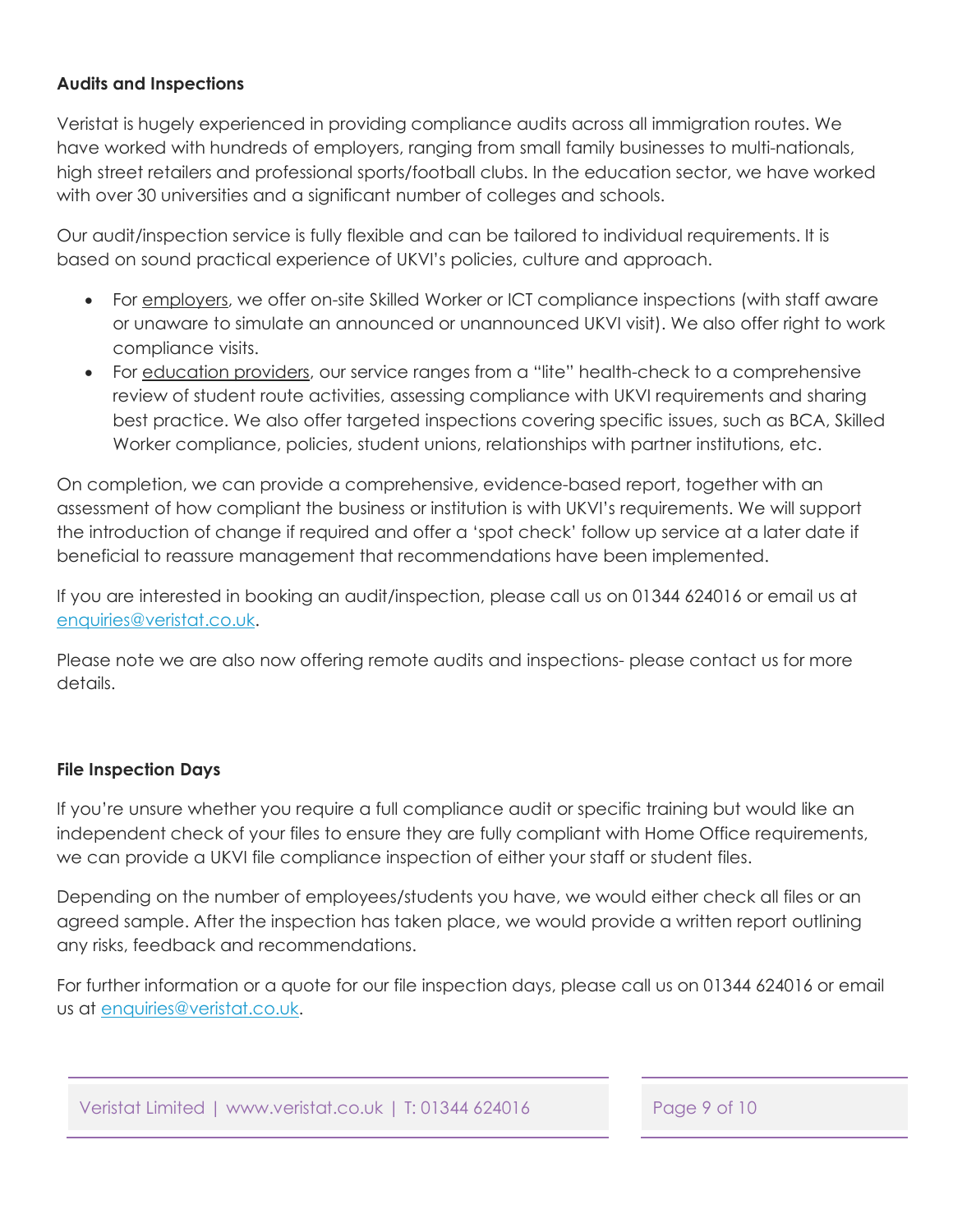### <span id="page-8-0"></span>**Audits and Inspections**

Veristat is hugely experienced in providing compliance audits across all immigration routes. We have worked with hundreds of employers, ranging from small family businesses to multi-nationals, high street retailers and professional sports/football clubs. In the education sector, we have worked with over 30 universities and a significant number of colleges and schools.

Our audit/inspection service is fully flexible and can be tailored to individual requirements. It is based on sound practical experience of UKVI's policies, culture and approach.

- For employers, we offer on-site Skilled Worker or ICT compliance inspections (with staff aware or unaware to simulate an announced or unannounced UKVI visit). We also offer right to work compliance visits.
- For education providers, our service ranges from a "lite" health-check to a comprehensive review of student route activities, assessing compliance with UKVI requirements and sharing best practice. We also offer targeted inspections covering specific issues, such as BCA, Skilled Worker compliance, policies, student unions, relationships with partner institutions, etc.

On completion, we can provide a comprehensive, evidence-based report, together with an assessment of how compliant the business or institution is with UKVI's requirements. We will support the introduction of change if required and offer a 'spot check' follow up service at a later date if beneficial to reassure management that recommendations have been implemented.

If you are interested in booking an audit/inspection, please call us on 01344 624016 or email us at enquiries@veristat.co.uk.

Please note we are also now offering remote audits and inspections- please contact us for more details.

### **File Inspection Days**

If you're unsure whether you require a full compliance audit or specific training but would like an independent check of your files to ensure they are fully compliant with Home Office requirements, we can provide a UKVI file compliance inspection of either your staff or student files.

Depending on the number of employees/students you have, we would either check all files or an agreed sample. After the inspection has taken place, we would provide a written report outlining any risks, feedback and recommendations.

For further information or a quote for our file inspection days, please call us on 01344 624016 or email us at enquiries@veristat.co.uk.

Veristat Limited | www.veristat.co.uk | T: 01344 624016 Page 9 of 10